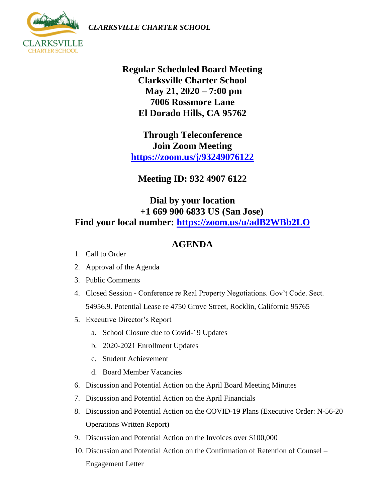*CLARKSVILLE CHARTER SCHOOL*



**Regular Scheduled Board Meeting Clarksville Charter School May 21, 2020 – 7:00 pm 7006 Rossmore Lane El Dorado Hills, CA 95762**

**Through Teleconference Join Zoom Meeting <https://zoom.us/j/93249076122>**

**Meeting ID: 932 4907 6122**

## **Dial by your location +1 669 900 6833 US (San Jose) Find your local number:<https://zoom.us/u/adB2WBb2LO>**

## **AGENDA**

- 1. Call to Order
- 2. Approval of the Agenda
- 3. Public Comments
- 4. Closed Session Conference re Real Property Negotiations. Gov't Code. Sect. 54956.9. Potential Lease re 4750 Grove Street, Rocklin, California 95765
- 5. Executive Director's Report
	- a. School Closure due to Covid-19 Updates
	- b. 2020-2021 Enrollment Updates
	- c. Student Achievement
	- d. Board Member Vacancies
- 6. Discussion and Potential Action on the April Board Meeting Minutes
- 7. Discussion and Potential Action on the April Financials
- 8. Discussion and Potential Action on the COVID-19 Plans (Executive Order: N-56-20 Operations Written Report)
- 9. Discussion and Potential Action on the Invoices over \$100,000
- 10. Discussion and Potential Action on the Confirmation of Retention of Counsel Engagement Letter